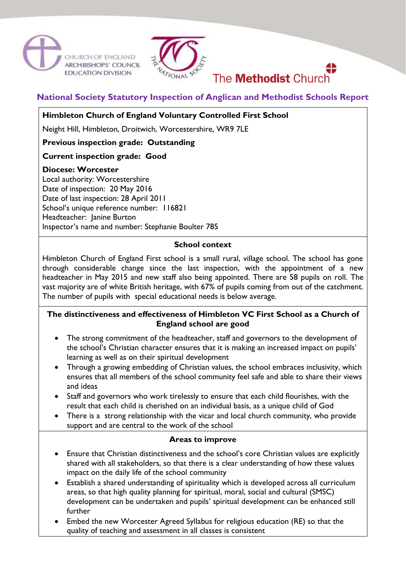



# The **Methodist** Church

**National Society Statutory Inspection of Anglican and Methodist Schools Report**

## **Himbleton Church of England Voluntary Controlled First School**

Neight Hill, Himbleton, Droitwich, Worcestershire, WR9 7LE

**Previous inspection grade: Outstanding**

## **Current inspection grade: Good**

#### **Diocese: Worcester**

Local authority: Worcestershire Date of inspection: 20 May 2016 Date of last inspection: 28 April 2011 School's unique reference number: 116821 Headteacher: Janine Burton Inspector's name and number: Stephanie Boulter 785

#### **School context**

Himbleton Church of England First school is a small rural, village school. The school has gone through considerable change since the last inspection, with the appointment of a new headteacher in May 2015 and new staff also being appointed. There are 58 pupils on roll. The vast majority are of white British heritage, with 67% of pupils coming from out of the catchment. The number of pupils with special educational needs is below average.

## **The distinctiveness and effectiveness of Himbleton VC First School as a Church of England school are good**

- The strong commitment of the headteacher, staff and governors to the development of the school's Christian character ensures that it is making an increased impact on pupils' learning as well as on their spiritual development
- Through a growing embedding of Christian values, the school embraces inclusivity, which ensures that all members of the school community feel safe and able to share their views and ideas
- Staff and governors who work tirelessly to ensure that each child flourishes, with the result that each child is cherished on an individual basis, as a unique child of God
- There is a strong relationship with the vicar and local church community, who provide support and are central to the work of the school

#### **Areas to improve**

- Ensure that Christian distinctiveness and the school's core Christian values are explicitly shared with all stakeholders, so that there is a clear understanding of how these values impact on the daily life of the school community
- Establish a shared understanding of spirituality which is developed across all curriculum areas, so that high quality planning for spiritual, moral, social and cultural (SMSC) development can be undertaken and pupils' spiritual development can be enhanced still further
- Embed the new Worcester Agreed Syllabus for religious education (RE) so that the quality of teaching and assessment in all classes is consistent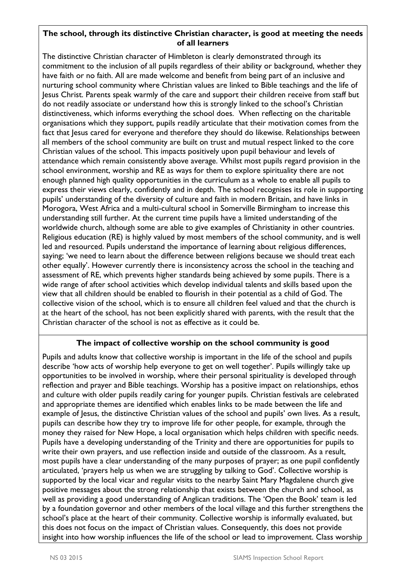### **The school, through its distinctive Christian character, is good at meeting the needs of all learners**

The distinctive Christian character of Himbleton is clearly demonstrated through its commitment to the inclusion of all pupils regardless of their ability or background, whether they have faith or no faith. All are made welcome and benefit from being part of an inclusive and nurturing school community where Christian values are linked to Bible teachings and the life of Jesus Christ. Parents speak warmly of the care and support their children receive from staff but do not readily associate or understand how this is strongly linked to the school's Christian distinctiveness, which informs everything the school does. When reflecting on the charitable organisations which they support, pupils readily articulate that their motivation comes from the fact that Jesus cared for everyone and therefore they should do likewise. Relationships between all members of the school community are built on trust and mutual respect linked to the core Christian values of the school. This impacts positively upon pupil behaviour and levels of attendance which remain consistently above average. Whilst most pupils regard provision in the school environment, worship and RE as ways for them to explore spirituality there are not enough planned high quality opportunities in the curriculum as a whole to enable all pupils to express their views clearly, confidently and in depth. The school recognises its role in supporting pupils' understanding of the diversity of culture and faith in modern Britain, and have links in Morogora, West Africa and a multi-cultural school in Somerville Birmingham to increase this understanding still further. At the current time pupils have a limited understanding of the worldwide church, although some are able to give examples of Christianity in other countries. Religious education (RE) is highly valued by most members of the school community, and is well led and resourced. Pupils understand the importance of learning about religious differences, saying; 'we need to learn about the difference between religions because we should treat each other equally'. However currently there is inconsistency across the school in the teaching and assessment of RE, which prevents higher standards being achieved by some pupils. There is a wide range of after school activities which develop individual talents and skills based upon the view that all children should be enabled to flourish in their potential as a child of God. The collective vision of the school, which is to ensure all children feel valued and that the church is at the heart of the school, has not been explicitly shared with parents, with the result that the Christian character of the school is not as effective as it could be.

## **The impact of collective worship on the school community is good**

Pupils and adults know that collective worship is important in the life of the school and pupils describe 'how acts of worship help everyone to get on well together'. Pupils willingly take up opportunities to be involved in worship, where their personal spirituality is developed through reflection and prayer and Bible teachings. Worship has a positive impact on relationships, ethos and culture with older pupils readily caring for younger pupils. Christian festivals are celebrated and appropriate themes are identified which enables links to be made between the life and example of Jesus, the distinctive Christian values of the school and pupils' own lives. As a result, pupils can describe how they try to improve life for other people, for example, through the money they raised for New Hope, a local organisation which helps children with specific needs. Pupils have a developing understanding of the Trinity and there are opportunities for pupils to write their own prayers, and use reflection inside and outside of the classroom. As a result, most pupils have a clear understanding of the many purposes of prayer; as one pupil confidently articulated, 'prayers help us when we are struggling by talking to God'. Collective worship is supported by the local vicar and regular visits to the nearby Saint Mary Magdalene church give positive messages about the strong relationship that exists between the church and school, as well as providing a good understanding of Anglican traditions. The 'Open the Book' team is led by a foundation governor and other members of the local village and this further strengthens the school's place at the heart of their community. Collective worship is informally evaluated, but this does not focus on the impact of Christian values. Consequently, this does not provide insight into how worship influences the life of the school or lead to improvement. Class worship